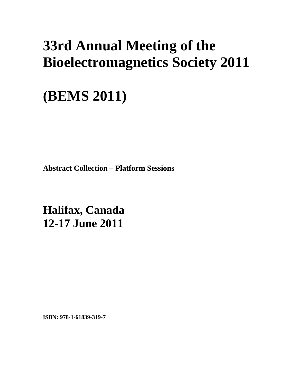# **33rd Annual Meeting of the Bioelectromagnetics Society 2011**

# **(BEMS 2011)**

**Abstract Collection – Platform Sessions** 

**Halifax, Canada 12-17 June 2011**

**ISBN: 978-1-61839-319-7**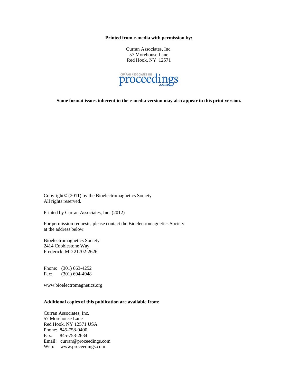**Printed from e-media with permission by:** 

Curran Associates, Inc. 57 Morehouse Lane Red Hook, NY 12571



**Some format issues inherent in the e-media version may also appear in this print version.** 

Copyright© (2011) by the Bioelectromagnetics Society All rights reserved.

Printed by Curran Associates, Inc. (2012)

For permission requests, please contact the Bioelectromagnetics Society at the address below.

Bioelectromagnetics Society 2414 Cobblestone Way Frederick, MD 21702-2626

Phone: (301) 663-4252 Fax: (301) 694-4948

www.bioelectromagnetics.org

#### **Additional copies of this publication are available from:**

Curran Associates, Inc. 57 Morehouse Lane Red Hook, NY 12571 USA Phone: 845-758-0400 Fax: 845-758-2634 Email: curran@proceedings.com Web: www.proceedings.com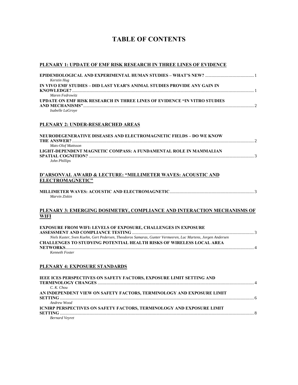## **TABLE OF CONTENTS**

#### **PLENARY 1: UPDATE OF EMF RISK RESEARCH IN THREE LINES OF EVIDENCE**

| Kerstin Hug                                                                     |          |
|---------------------------------------------------------------------------------|----------|
| IN VIVO EMF STUDIES – DID LAST YEAR'S ANIMAL STUDIES PROVIDE ANY GAIN IN        |          |
|                                                                                 |          |
| Maren Fedrowitz                                                                 |          |
| <b>UPDATE ON EMF RISK RESEARCH IN THREE LINES OF EVIDENCE "IN VITRO STUDIES</b> |          |
|                                                                                 | $\gamma$ |
| $\mathbf{r}$ $\mathbf{r}$ $\mathbf{r}$ $\mathbf{r}$                             |          |

*Isabelle LaGroye* 

#### **PLENARY 2: UNDER-RESEARCHED AREAS**

| NEURODEGENERATIVE DISEASES AND ELECTROMAGNETIC FIELDS – DO WE KNOW |  |
|--------------------------------------------------------------------|--|
|                                                                    |  |
| Mats-Olof Mattsson                                                 |  |
| LIGHT-DEPENDENT MAGNETIC COMPASS: A FUNDAMENTAL ROLE IN MAMMALIAN  |  |
|                                                                    |  |
| John Phillips                                                      |  |

#### **D'ARSONVAL AWARD & LECTURE: "MILLIMETER WAVES: ACOUSTIC AND ELECTROMAGNETIC"**

| Marvin Ziskin |  |
|---------------|--|

#### **PLENARY 3: EMERGING DOSIMETRY, COMPLIANCE AND INTERACTION MECHANISMS OF WIFI**

| <b>EXPOSURE FROM WIFI: LEVELS OF EXPOSURE, CHALLENGES IN EXPOSURE</b>                                      |  |
|------------------------------------------------------------------------------------------------------------|--|
|                                                                                                            |  |
| Niels Kuster, Sven Kuehn, Gert Pedersen, Theodoros Samaras, Gunter Vermeeren, Luc Martens, Jorgen Andersen |  |
| <b>CHALLENGES TO STUDYING POTENTIAL HEALTH RISKS OF WIRELESS LOCAL AREA</b>                                |  |
|                                                                                                            |  |
| Kenneth Foster                                                                                             |  |

#### **PLENARY 4: EXPOSURE STANDARDS**

| IEEE ICES PERSPECTIVES ON SAFETY FACTORS, EXPOSURE LIMIT SETTING AND         |  |
|------------------------------------------------------------------------------|--|
| C. K. Chou                                                                   |  |
| AN INDEPENDENT VIEW ON SAFETY FACTORS, TERMINOLOGY AND EXPOSURE LIMIT        |  |
|                                                                              |  |
| Andrew Wood                                                                  |  |
| <b>ICNIRP PERSPECTIVES ON SAFETY FACTORS, TERMINOLOGY AND EXPOSURE LIMIT</b> |  |
|                                                                              |  |
| <b>Bernard Veyret</b>                                                        |  |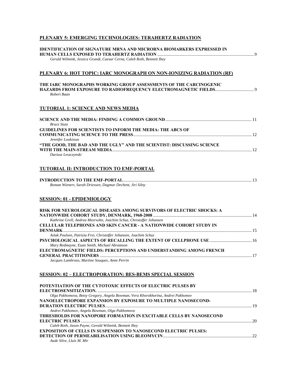### **PLENARY 5: EMERGING TECHNOLOGIES: TERAHERTZ RADIATION**

| <b>IDENTIFICATION OF SIGNATURE MRNA AND MICRORNA BIOMARKERS EXPRESSED IN</b>     |  |
|----------------------------------------------------------------------------------|--|
| Gerald Wilmink, Jessica Grundt, Caesar Cerna, Caleb Roth, Bennett Ibey           |  |
|                                                                                  |  |
| PLENARY 6: HOT TOPIC: IARC MONOGRAPH ON NON-IONIZING RADIATION (RF)              |  |
|                                                                                  |  |
| THE IARC MONOGRAPHS WORKING GROUP ASSESSMENTS OF THE CARCINOGENIC                |  |
| Robert Baan                                                                      |  |
|                                                                                  |  |
| <b>TUTORIAL 1: SCIENCE AND NEWS MEDIA</b>                                        |  |
|                                                                                  |  |
|                                                                                  |  |
| <b>Bruce Stutz</b>                                                               |  |
| <b>GUIDELINES FOR SCIENTISTS TO INFORM THE MEDIA: THE ABCS OF</b>                |  |
| Jennifer Loukissas                                                               |  |
| "THE GOOD, THE BAD AND THE UGLY" AND THE SCIENTIST: DISCUSSING SCIENCE           |  |
|                                                                                  |  |
| Dariusz Leszczynski                                                              |  |
|                                                                                  |  |
| TUTORIAL II: INTRODUCTION TO EMF-PORTAL                                          |  |
|                                                                                  |  |
| Roman Wienert, Sarah Driessen, Dagmar Dechent, Jiri Silny                        |  |
|                                                                                  |  |
| <b>SESSION: 01 - EPIDEMIOLOGY</b>                                                |  |
|                                                                                  |  |
| RISK FOR NEUROLOGICAL DISEASES AMONG SURVIVORS OF ELECTRIC SHOCKS: A             |  |
| Kathrine Grell, Andrea Meersohn, Joachim Schuz, Christoffer Johansen             |  |
| <b>CELLULAR TELEPHONES AND SKIN CANCER - A NATIONWIDE COHORT STUDY IN</b>        |  |
|                                                                                  |  |
| Aslak Poulsen, Patrizia Frei, Christoffer Johansen, Joachim Schuz                |  |
| Mary Redmayne, Euan Smith, Michael Abramson                                      |  |
| ELECTROMAGNETIC FIELDS: PERCEPTIONS AND UNDERSTANDING AMONG FRENCH               |  |
|                                                                                  |  |
| Jacques Lambrozo, Martine Souques, Anne Perrin                                   |  |
|                                                                                  |  |
| <b>SESSION: 02 – ELECTROPORATION: BES-BEMS SPECIAL SESSION</b>                   |  |
|                                                                                  |  |
| POTENTIATION OF THE CYTOTOXIC EFFECTS OF ELECTRIC PULSES BY                      |  |
| Olga Pakhomova, Betsy Gregory, Angela Bowman, Vera Khorokhorina, Andrei Pakhomov |  |
| NANOELECTROPORE EXPANSION BY EXPOSURE TO MULTIPLE NANOSECOND-                    |  |
|                                                                                  |  |
| Andrei Pakhomov, Angela Bowman, Olga Pakhomova                                   |  |
|                                                                                  |  |
| <b>THRESHOLDS FOR NANOPORE FORMATION IN EXCITABLE CELLS BY NANOSECOND</b>        |  |
| Caleb Roth, Jason Payne, Gerald Wilmink, Bennett Ibey                            |  |
| <b>EXPOSITION OF CELLS IN SUSPENSION TO NANOSECOND ELECTRIC PULSES:</b>          |  |
| Aude Silve, Lluis M. Mir                                                         |  |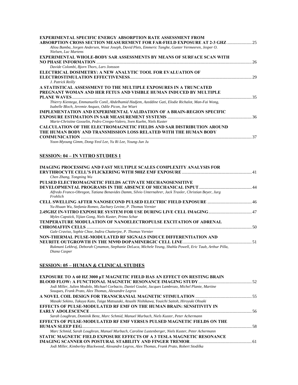| <b>EXPERIMENTAL SPECIFIC ENERGY ABSORPTION RATE ASSESSMENT FROM</b>                                  |    |
|------------------------------------------------------------------------------------------------------|----|
| ABSORPTION CROSS SECTION MEASUREMENT FOR FAR-FIELD EXPOSURE AT 2-3 GHZ                               |    |
| Aliou Bamba, Jorgen Andersen, Wout Joseph, David Plets, Emmeric Tanghe, Gunter Vermeeren, Jesper O.  |    |
| Nielsen, Luc Martens                                                                                 |    |
| <b>EXPERIMENTAL WHOLE-BODY SAR ASSESSMENTS BY MEANS OF SURFACE SCAN WITH</b>                         |    |
| <b>NO PHASE INFORMATION</b>                                                                          |    |
| Davide Colombi, Bjorn Thors, Lars Jonsson                                                            |    |
| ELECTRICAL DOSIMETRY: A NEW ANALYTIC TOOL FOR EVALUATION OF                                          |    |
|                                                                                                      |    |
| J. Patrick Reilly                                                                                    |    |
| A STATISTICAL ASSESSMENT TO THE MULTIPLE EXPOSURES IN A TRUNCATED                                    |    |
| <b>PREGNANT WOMAN AND HER FETUS AND VISIBLE HUMAN INDUCED BY MULTIPLE</b>                            |    |
| <b>PLANE WAVES</b>                                                                                   |    |
| Thierry Kientega, Emmanuelle Conil, Abdelhamid Hadjem, Azeddine Gati, Elodie Richalot, Man-Fai Wong, |    |
| Isabelle Bloch, Jeremie Anquez, Odile Picon, Joe Wiart                                               |    |
| IMPLEMENTATION AND EXPERIMENTAL VALIDATION OF A BRAIN-REGION SPECIFIC                                |    |
|                                                                                                      |    |
| Marie-Christine Gosselin, Pedro Crespo-Valero, Sven Kuehn, Niels Kuster                              |    |
| <b>CALCULATION OF THE ELECTROMAGNETIC FIELDS AND SAR DISTRIBUTION AROUND</b>                         |    |
| THE HUMAN BODY AND TRANSMISSION LOSS RELATED WITH THE HUMAN BODY                                     |    |
| <b>COMMUNICATION</b>                                                                                 | 37 |
| Yoon-Myoung Gimm, Dong-Yeol Lee, Yu Ri Lee, Young-Jun Ju                                             |    |

## **SESSION: 04 – IN VITRO STUDIES 1**

| <b>IMAGING PROCESSING AND FAST MULTIPLE SCALES COMPLEXITY ANALYSIS FOR</b>                                                 |  |
|----------------------------------------------------------------------------------------------------------------------------|--|
|                                                                                                                            |  |
| Chen Zhang, Tongning Wu                                                                                                    |  |
| PULSED ELECTROMAGNETIC FIELDS ACTIVATE MECHANOSENSITIVE                                                                    |  |
|                                                                                                                            |  |
| Alfredo Franco-Obregon, Tatiana Benavides Damm, Silvio Unternahrer, Jack Traxler, Christian Beyer, Jurg<br>Frohlich        |  |
|                                                                                                                            |  |
| Yu-Hsuan Wu, Stefania Romeo, Zachary Levine, P. Thomas Vernier                                                             |  |
|                                                                                                                            |  |
| Myles Capstick, Yijian Gong, Niels Kuster, Primo Schar                                                                     |  |
| <b>TEMPERATURE MODULATION OF NANOELECTROPULSE EXCITATION OF ADRENAL</b>                                                    |  |
|                                                                                                                            |  |
| Gale Craviso, Sophie Choe, Indira Chatterjee, P. Thomas Vernier                                                            |  |
| NON-THERMAL PULSE-MODULATED RF SIGNALS INDUCE DIFFERENTIATION AND                                                          |  |
|                                                                                                                            |  |
| Rukmani Lekhraj, Deborah Cynamon, Stephanie DeLuca, Michele Yeung, Shahla Powell, Eric Taub, Arthur Pilla,<br>Diana Casper |  |

## **SESSION: 05 – HUMAN & CLINICAL STUDIES**

| <b>EXPOSURE TO A 60 HZ 3000 µT MAGNETIC FIELD HAS AN EFFECT ON RESTING BRAIN</b>                      |  |
|-------------------------------------------------------------------------------------------------------|--|
|                                                                                                       |  |
| Jodi Miller, Julien Modolo, Michael Corbacio, Daniel Goulet, Jacques Lambrozo, Michel Plante, Martine |  |
| Souques, Frank Prato, Alex Thomas, Alexandre Legros                                                   |  |
|                                                                                                       |  |
| Masaki Sekino, Takuya Kato, Taiga Matsuzaki, Atsushi Nishikawa, Youichi Saitoh, Hiroyuki Ohsaki       |  |
| <b>EFFECTS OF PULSE-MODULATED RF EMF ON THE HUMAN BRAIN: SENSITIVITY IN</b>                           |  |
|                                                                                                       |  |
| Sarah Loughran, Dominik Benz, Marc Schmid, Manuel Murbach, Niels Kuster, Peter Achermann              |  |
| <b>EFFECTS OF PULSE-MODULATED RF EMF VERSUS PULSED MAGNETIC FIELDS ON THE</b>                         |  |
|                                                                                                       |  |
| Marc Schmid, Sarah Loughran, Manuel Murbach, Caroline Lustenberger, Niels Kuster, Peter Achermann     |  |
| STATIC MAGNETIC FIELD EXPOSURE EFFECTS OF A 3 TESLA MAGNETIC RESONANCE                                |  |
|                                                                                                       |  |
| Jodi Miller, Kimberley Blackwood, Alexandre Legros, Alex Thomas, Frank Prato, Robert Stodilka         |  |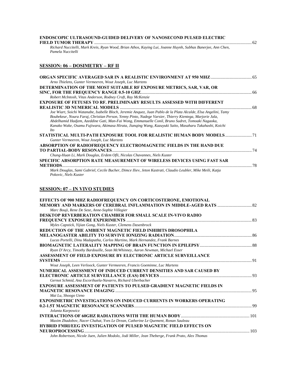#### **ENDOSCOPIC ULTRASOUND-GUIDED DELIVERY OF NANOSECOND PULSED ELECTRIC FIELD TUMOR THERAPY** .............................................................................................................................................. 62

*Richard Nuccitelli, Mark Kreis, Ryan Wood, Brian Athos, Kaying Lui, Joanne Huynh, Subhas Banerjee, Ann Chen, Pamela Nuccitelli* 

#### **SESSION: 06 – DOSIMETRY – RF II**

| Arno Thielens, Gunter Vermeeren, Wout Joseph, Luc Martens                                                       |  |
|-----------------------------------------------------------------------------------------------------------------|--|
| DETERMINATION OF THE MOST SUITABLE RF EXPOSURE METRICS, SAR, VAR, OR                                            |  |
|                                                                                                                 |  |
| Robert McIntosh, Vitas Anderson, Rodney Croft, Ray McKenzie                                                     |  |
| <b>EXPOSURE OF FETUSES TO RF. PRELIMINARY RESULTS ASSESSED WITH DIFFERENT</b>                                   |  |
|                                                                                                                 |  |
| Joe Wiart, Soichi Watanabe, Isabelle Bloch, Jeremie Anquez, Juan Pablo de la Plata Alcalde, Elsa Angelini, Tamy |  |
| Boubekeur, Noura Faraj, Christian Person, Yenny Pinto, Nadege Varsier, Thierry Kientega, Marjorie Jala,         |  |
| Abdelhamid Hadjem, Azeddine Gati, Man-Fai Wong, Emmanuelle Conil, Bruno Sudret, Tomoaki Nagaoka,                |  |
| Kanako Wake, Osamu Fujiwara, Akimasa Hirata, Jianging Wang, Kazuyuki Saito, Masaharu Takahashi, Koichi          |  |
| <i>Ito</i>                                                                                                      |  |
| STATISTICAL MULTI-PATH EXPOSURE TOOL FOR REALISTIC HUMAN BODY MODELS 71                                         |  |
| Gunter Vermeeren, Wout Joseph, Luc Martens                                                                      |  |
| ABSORPTION OF RADIOFREQUENCY ELECTROMAGNETIC FIELDS IN THE HAND DUE                                             |  |
|                                                                                                                 |  |
| Chung-Huan Li, Mark Douglas, Erdem Ofli, Nicolas Chavannes, Niels Kuster                                        |  |
| SPECIFIC ABSORPTION RATE MEASUREMENT OF WIRELESS DEVICES USING FAST SAR                                         |  |
| <b>METHODS</b>                                                                                                  |  |
| Mark Douglas, Sami Gabriel, Cecile Bucher, Dimce Iliev, Jeton Kastrati, Claudio Leubler, Mike Meili, Katja      |  |
| Pokovic, Niels Kuster                                                                                           |  |

#### **SESSION: 07 – IN VIVO STUDIES**

| <b>EFFECTS OF 900 MHZ RADIOFREOUENCY ON CORTICOSTERONE, EMOTIONAL</b>                            |  |
|--------------------------------------------------------------------------------------------------|--|
|                                                                                                  |  |
| Marc Bouji, Rene De Seze, Anne-Sophie Villegier                                                  |  |
| <b>DESKTOP REVERBERATION CHAMBER FOR SMALL SCALE IN-VIVO RADIO</b>                               |  |
|                                                                                                  |  |
| Myles Capstick, Yijian Gong, Niels Kuster, Clemens Dasenbrock                                    |  |
| REDUCTION OF THE AMBIENT MAGNETIC FIELD INHIBITS DROSOPHILA                                      |  |
|                                                                                                  |  |
| Lucas Portelli, Dinu Madapatha, Carlos Martino, Mark Hernandez, Frank Barnes                     |  |
|                                                                                                  |  |
| Ryan D'Arcy, Timothy Bardouille, Sean McWhinney, Aaron Newman, Michael Esser                     |  |
| ASSESSMENT OF FIELD EXPOSURE BY ELECTRONIC ARTICLE SURVEILLANCE                                  |  |
|                                                                                                  |  |
| Wout Joseph, Leen Verloock, Gunter Vermeeren, Francis Goeminne, Luc Martens                      |  |
| NUMERICAL ASSESSMENT OF INDUCED CURRENT DENSITIES AND SAR CAUSED BY                              |  |
|                                                                                                  |  |
| Gernot Schmid, Ana Escorihuela-Navarro, Richard Uberbacher                                       |  |
| <b>EXPOSURE ASSESSMENT OF PATIENTS TO PULSED GRADIENT MAGNETIC FIELDS IN</b>                     |  |
|                                                                                                  |  |
| Mai Lu, Shoogo Ueno                                                                              |  |
| <b>EXPOSIMETRIC INVESTIGATIONS ON INDUCED CURRENTS IN WORKERS OPERATING</b>                      |  |
|                                                                                                  |  |
| Jolanta Karpowicz                                                                                |  |
|                                                                                                  |  |
| Maxim Zhadobov, Nacer Chahat, Yves Le Drean, Catherine Le Quement, Ronan Sauleau                 |  |
| <b>HYBRID FMRI/EEG INVESTIGATION OF PULSED MAGNETIC FIELD EFFECTS ON</b>                         |  |
|                                                                                                  |  |
| John Robertson, Nicole Juen, Julien Modolo, Jodi Miller, Jean Theberge, Frank Prato, Alex Thomas |  |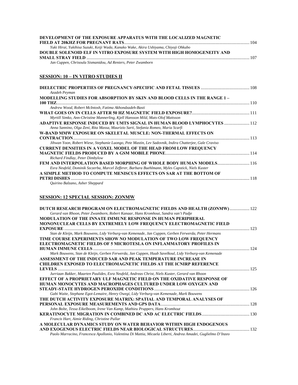| DEVELOPMENT OF THE EXPOSURE APPARATUS WITH THE LOCALIZED MAGNETIC                    |  |
|--------------------------------------------------------------------------------------|--|
|                                                                                      |  |
| Yuki Hirai, Yukihisa Suzuki, Keiji Wada, Kanako Wake, Akira Ushiyama, Chiyoji Ohkubo |  |
| DOUBLE SOLENOID ELF IN VITRO EXPOSURE SYSTEM WITH HIGH HOMOGENEITY AND               |  |
|                                                                                      |  |
| Jan Cuppen, Chrisoula Sismanidou, Ad Reniers, Peter Zwamborn                         |  |

## **SESSION: 10 – IN VITRO STUDIES II**

| Azadeh Peyman                                                                                           |  |
|---------------------------------------------------------------------------------------------------------|--|
| MODELLING STUDIES FOR ABSORPTION BY SKIN AND BLOOD CELLS IN THE RANGE 1 –                               |  |
| 100 THZ.                                                                                                |  |
| Andrew Wood, Robert McIntosh, Fatima Akhondzadeh-Basti                                                  |  |
|                                                                                                         |  |
| Myrtill Simko, Ann-Christine Mannerling, Kjell Hansson Mild, Mats-Olof Mattsson                         |  |
| ADAPTIVE RESPONSE INDUCED BY UMTS SIGNAL IN HUMAN BLOOD LYMPHOCYTES  112                                |  |
| Anna Sannino, Olga Zeni, Rita Massa, Maurizio Sarti, Stefania Romeo, Maria Scarfi                       |  |
| W-BAND MMW EXPOSURE ON SKELETAL MUSCLE: NON-THERMAL EFFECTS ON                                          |  |
|                                                                                                         |  |
| Jihwan Yoon, Robert Wiese, Stephanie Luongo, Pete Mastin, Lev Sadovnik, Indira Chatterjee, Gale Craviso |  |
| <b>CURRENT DENSITIES IN A VOXEL MODEL OF THE HEAD FROM LOW FREQUENCY</b>                                |  |
|                                                                                                         |  |
| Richard Findlay, Peter Dimbylow                                                                         |  |
| FEM AND INTERPOLATION BASED MORPHING OF WHOLE BODY HUMAN MODELS 116                                     |  |
| Esra Neufeld, Dominik Szczerba, Marcel Zefferer, Barbara Buehlmann, Myles Capstick, Niels Kuster        |  |
| A SIMPLE METHOD TO COMPUTE MENISCUS EFFECTS ON SAR AT THE BOTTOM OF                                     |  |
| PETRI DISHES                                                                                            |  |
| Quirino Balzano, Asher Sheppard                                                                         |  |

## **SESSION: 12 SPECIAL SESSION: ZONMW**

| DUTCH RESEARCH PROGRAM ON ELECTROMAGNETIC FIELDS AND HEALTH (ZONMW) 122                                      |  |
|--------------------------------------------------------------------------------------------------------------|--|
| Gerard van Rhoon, Peter Zwamborn, Robert Kanaar, Hans Kromhout, Sandra van't Padje                           |  |
| <b>MODULATION OF THE INNATE IMMUNE RESPONSE IN HUMAN PERIPHERAL</b>                                          |  |
| MONONUCLEAR CELLS BY EXTREMELY LOW FREQUENCY ELECTROMAGNETIC FIELD                                           |  |
|                                                                                                              |  |
| Stan de Kleijn, Mark Bouwens, Lidy Verburg-van Kemenade, Jan Cuppen, Gerben Ferwerda, Peter Hermans          |  |
| TIME COURSE EXPERIMENTS SHOW NO MODULATION OF TWO LOW FREQUENCY                                              |  |
| ELECTROMAGNETIC FIELDS OF 5 MICROTESLA ON INFLAMMATORY PROFILES IN                                           |  |
|                                                                                                              |  |
| Mark Bouwens, Stan de Kleijn, Gerben Ferwerda, Jan Cuppen, Huub Savelkoul, Lidy Verburg-van Kemenade         |  |
| ASSESSMENT OF THE INDUCED SAR AND PEAK TEMPERATURE INCREASE IN                                               |  |
| <b>CHILDREN EXPOSED TO ELECTROMAGNETIC FIELDS AT THE ICNIRP REFERENCE</b>                                    |  |
|                                                                                                              |  |
| Jurriaan Bakker, Maarten Paulides, Esra Neufeld, Andreas Christ, Niels Kuster, Gerard van Rhoon              |  |
| EFFECT OF A PROPRIETARY ULF MAGNETIC FIELD ON THE OXIDATIVE RESPONSE OF                                      |  |
| HUMAN MONOCYTES AND MACROPHAGES CULTURED UNDER LOW OXYGEN AND                                                |  |
|                                                                                                              |  |
| Gabi Waite, Stephane Egot-Lemaire, Henry Owegi, Lidy Verburg-van Kemenade, Mark Bouwens                      |  |
| THE DUTCH ACTIVITY EXPOSURE MATRIX: SPATIAL AND TEMPORAL ANALYSES OF                                         |  |
|                                                                                                              |  |
| John Bolte, Tessa Eikelboom, Irene Van Kamp, Mathieu Pruppers, Hans Kromhout                                 |  |
|                                                                                                              |  |
| Francis Hart, Aimie Riding, Christine Pullar                                                                 |  |
| A MOLECULAR DYNAMICS STUDY ON WATER BEHAVIOR WITHIN HIGH ENDOGENOUS                                          |  |
|                                                                                                              |  |
| Paolo Marracino, Francesca Apollonio, Valentina Di Mattia, Micaela Liberti, Andrea Amadei, Guglielmo D'Inzeo |  |
|                                                                                                              |  |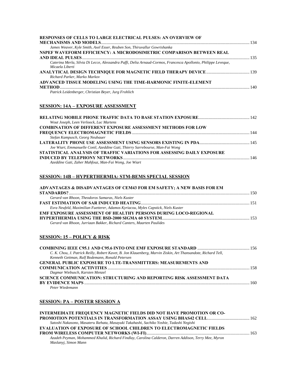| <b>RESPONSES OF CELLS TO LARGE ELECTRICAL PULSES: AN OVERVIEW OF</b>                                           |  |
|----------------------------------------------------------------------------------------------------------------|--|
|                                                                                                                |  |
| James Weaver, Kyle Smith, Axel Esser, Reuben Son, Thiruvallur Gowrishanka                                      |  |
| NSPEF WAVEFORM EFFICIENCY: A MICRODOSIMETRIC COMPARISON BETWEEN REAL                                           |  |
|                                                                                                                |  |
| Caterina Merla, Silvia Di Lecce, Alessandra Paffi, Delia Arnaud-Cormos, Francesca Apollonio, Philippe Leveque, |  |
| Micaela Liberti                                                                                                |  |
|                                                                                                                |  |
| Richard Parker, Marko Markov                                                                                   |  |
| ADVANCED TISSUE MODELING USING THE TIME-HARMONIC FINITE-ELEMENT                                                |  |
|                                                                                                                |  |
| Patrick Leidenberger, Christian Beyer, Jurg Frohlich                                                           |  |

## **SESSION: 14A – EXPOSURE ASSESSMENT**

| Wout Joseph, Leen Verloock, Luc Martens                                       |  |
|-------------------------------------------------------------------------------|--|
| <b>COMBINATION OF DIFFERENT EXPOSURE ASSESSMENT METHODS FOR LOW</b>           |  |
|                                                                               |  |
| Stefan Kampusch, Georg Neubauer                                               |  |
|                                                                               |  |
| Joe Wiart, Emmanuelle Conil, Azeddine Gati, Thierry Sarrebourse, Man-Fai Wong |  |
| STATISTICAL ANALYSIS OF TRAFFIC VARIATIONS FOR ASSESSING DAILY EXPOSURE       |  |
|                                                                               |  |
| Azeddine Gati, Zaher Mahfouz, Man-Fai Wong, Joe Wiart                         |  |
|                                                                               |  |

### **SESSION: 14B – HYPERTHERMIA: STM-BEMS SPECIAL SESSION**

| ADVANTAGES & DISADVANTAGES OF CEM43 FOR EM SAFETY; A NEW BASIS FOR EM             |  |
|-----------------------------------------------------------------------------------|--|
|                                                                                   |  |
| Gerard van Rhoon. Theodoros Samaras. Niels Kuster                                 |  |
|                                                                                   |  |
| Esra Neufeld, Maximilian Fuetterer, Adamos Kyriacou, Myles Capstick, Niels Kuster |  |
| <b>EMF EXPOSURE ASSESSMENT OF HEALTHY PERSONS DURING LOCO-REGIONAL</b>            |  |
|                                                                                   |  |
| Gerard van Rhoon, Jurriaan Bakker, Richard Canters, Maarten Paulides              |  |

## **SESSION: 15 – POLICY & RISK**

| C. K. Chou, J. Patrick Reilly, Robert Kavet, B. Jon Klauenberg, Marvin Ziskin, Art Thansandote, Richard Tell, |  |
|---------------------------------------------------------------------------------------------------------------|--|
| Kenneth Gettman, Ralf Bodemann, Ronald Petersen                                                               |  |
| <b>GENERAL PUBLIC EXPOSURE TO LTE-TRANSMITTERS: MEASUREMENTS AND</b>                                          |  |
|                                                                                                               |  |
| Dagmar Wiebusch, Karsten Menzel                                                                               |  |
| SCIENCE COMMUNICATION: STRUCTURING AND REPORTING RISK ASSESSMENT DATA                                         |  |
|                                                                                                               |  |
| Peter Wiedemann                                                                                               |  |

#### **SESSION: PA – POSTER SESSION A**

| <b>INTERMEDIATE FREQUENCY MAGNETIC FIELDS DID NOT HAVE PROMOTION OR CO-</b>                          |  |
|------------------------------------------------------------------------------------------------------|--|
|                                                                                                      |  |
| Satoshi Nakasono, Masateru Ikehata, Masayuki Takahashi, Sachiko Yoshie, Tadashi Negishi              |  |
| <b>EVALUATION OF EXPOSURE OF SCHOOL CHILDREN TO ELECTROMAGNETIC FIELDS</b>                           |  |
|                                                                                                      |  |
| Azadeh Peyman, Mohammed Khalid, Richard Findlay, Carolina Calderon, Darren Addison, Terry Mee, Myron |  |
| Maslanyi, Simon Mann                                                                                 |  |
|                                                                                                      |  |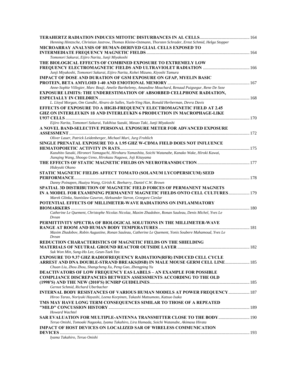| Henning Hintzsche, Christian Jastrow, Thomas Kleine-Ostmann, Thorsten Schrader, Ernst Schmid, Helga Stopper                                                           |  |
|-----------------------------------------------------------------------------------------------------------------------------------------------------------------------|--|
| MICROARRAY ANALYSIS OF HUMAN-DERIVED GLIAL CELLS EXPOSED TO                                                                                                           |  |
| Tomonori Sakurai, Eijiro Narita, Junji Miyakoshi                                                                                                                      |  |
| THE BIOLOGICAL EFFECTS OF COMBINED EXPOSURE TO EXTREMELY LOW                                                                                                          |  |
|                                                                                                                                                                       |  |
| Junji Miyakoshi, Tomonori Sakurai, Eijiro Narita, Kohei Mizuno, Kiyoshi Tamura                                                                                        |  |
| <b>IMPACT OF DOSE AND DURATION OF GSM EXPOSURE ON GFAP, MYELIN BASIC</b>                                                                                              |  |
|                                                                                                                                                                       |  |
| Anne-Sophie Villegier, Marc Bouji, Amelie Barthelemy, Amandine Mouchard, Renaud Puigsegur, Rene De Seze                                                               |  |
| EXPOSURE LIMITS: THE UNDERESTIMATION OF ABSORBED CELLPHONE RADIATION,                                                                                                 |  |
|                                                                                                                                                                       |  |
| L. Lloyd Morgan, Om Gandhi, Alvaro de Salles, Yueh-Ying Han, Ronald Herberman, Devra Davis                                                                            |  |
| EFFECTS OF EXPOSURE TO A HIGH-FREQUENCY ELECTROMAGNETIC FIELD AT 2.45                                                                                                 |  |
| <b>GHZ ON INTERLEUKIN 16 AND INTERLEUKIN 6 PRODUCTION IN MACROPHAGE-LIKE</b>                                                                                          |  |
| Eijiro Narita, Tomonori Sakurai, Yukihisa Suzuki, Masao Taki, Junji Miyakoshi                                                                                         |  |
| A NOVEL BAND-SELECTIVE PERSONAL EXPOSURE METER FOR ADVANCED EXPOSURE                                                                                                  |  |
|                                                                                                                                                                       |  |
| Oliver Lauer, Patrick Leidenberger, Michael Muri, Jurg Frohlich                                                                                                       |  |
| SINGLE PRENATAL EXPOSURE TO A 1.95 GHZ W-CDMA FIELD DOES NOT INFLUENCE                                                                                                |  |
|                                                                                                                                                                       |  |
| Kazuhito Sasaki, Hironori Yamaguchi, Hiroharu Yamashita, Soichi Watanabe, Kanako Wake, Hiroki Kawai,                                                                  |  |
| Jianqing Wang, Shoogo Ueno, Hirokazu Nagawa, Joji Kitayama                                                                                                            |  |
|                                                                                                                                                                       |  |
| Hidevuki Okano                                                                                                                                                        |  |
| STATIC MAGNETIC FIELDS AFFECT TOMATO (SOLANUM LYCOPERSICUM) SEED                                                                                                      |  |
|                                                                                                                                                                       |  |
| Danny Poinapen, Huaiyu Wang, Girish K. Beeharry, Daniel C.W. Brown                                                                                                    |  |
| SPATIAL 3D DISTRIBUTION OF MAGNETIC FIELD FORCES OF PERMANENT MAGNETS<br>IN A MODEL FOR EXAMINING PERMANENT MAGNETIC FIELDS ONTO CELL CULTURES 179                    |  |
| Marek Glinka, Stanislaw Gawron, Aleksander Sieron, Grzegorz Cieslar                                                                                                   |  |
| POTENTIAL EFFECTS OF MILLIMETER-WAVE RADIATIONS ON INFLAMMATORY                                                                                                       |  |
|                                                                                                                                                                       |  |
| Catherine Le Quement, Christophe Nicolas Nicolaz, Maxim Zhadobov, Ronan Sauleau, Denis Michel, Yves Le                                                                |  |
| Drean                                                                                                                                                                 |  |
| PERMITTIVITY SPECTRA OF BIOLOGICAL SOLUTIONS IN THE MILLIMETER-WAVE                                                                                                   |  |
|                                                                                                                                                                       |  |
| Maxim Zhadobov, Robin Augustine, Ronan Sauleau, Catherine Le Quement, Yonis Soubere Mahamoud, Yves Le                                                                 |  |
| Drean                                                                                                                                                                 |  |
| <b>REDUCTION CHARACTERISTICS OF MAGNETIC FIELDS ON THE SHIELDING</b>                                                                                                  |  |
| Suk Won Min, Sung-Ho Lee, Geun-Taek Yeo                                                                                                                               |  |
| <b>EXPOSURE TO 9.37 GHZ RADIOFREQUENCY RADIATION(RFR) INDUCED CELL CYCLE</b>                                                                                          |  |
| ARREST AND DNA DOUBLE-STRAND BREAKS(DSB) IN MALE MOUSE GERM CELL LINE 185                                                                                             |  |
| Chuan Liu, Zhou Zhou, Shangcheng Xu, Peng Gao, Zhengping Yu                                                                                                           |  |
| <b>DEACTIVATORS OF LOW FREQUENCY EAS LABELS - AN EXAMPLE FOR POSSIBLE</b>                                                                                             |  |
| <b>COMPLIANCE DISCREPANCIES BETWEEN ASSESSMENTS ACCORDING TO THE OLD</b>                                                                                              |  |
|                                                                                                                                                                       |  |
| Gernot Schmid, Richard Uberbacher                                                                                                                                     |  |
| <b>INTERNAL BODY RESISTANCES OF VARIOUS HUMAN MODELS AT POWER FREQUENCY  187</b>                                                                                      |  |
| Hiroo Tarao, Noriyuki Hayashi, Leena Korpinen, Takashi Matsumoto, Katsuo Isaka                                                                                        |  |
| TMS MAY HAVE LONG TERM CONSEQUENCES SIMILAR TO THOSE OF A REPEATED                                                                                                    |  |
|                                                                                                                                                                       |  |
| Howard Wachtel                                                                                                                                                        |  |
| SAR EVALUATION FOR MULTIPLE-ANTENNA TRANSMITTER CLOSE TO THE BODY  190<br>Teruo Onishi, Tomoaki Nagaoka, Iyama Takahiro, Lira Hamada, Soichi Watanabe, Akimasa Hirata |  |
| <b>IMPACT OF HOST DEVICES ON LOCALIZED SAR OF WIRELESS COMMUNICATION</b>                                                                                              |  |
|                                                                                                                                                                       |  |
| Iyama Takahiro, Teruo Onishi                                                                                                                                          |  |
|                                                                                                                                                                       |  |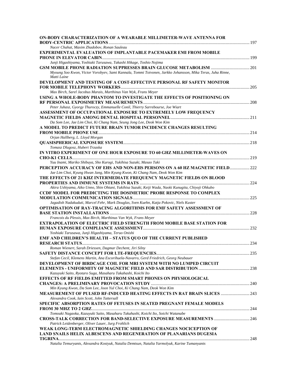| ON-BODY CHARACTERIZATION OF A WEARABLE MILLIMETER-WAVE ANTENNA FOR                                                     |       |
|------------------------------------------------------------------------------------------------------------------------|-------|
|                                                                                                                        |       |
| Nacer Chahat, Maxim Zhadobov, Ronan Sauleau<br><b>EXPERIMENTAL EVALUATION OF IMPLANTABLE PACEMAKER EMI FROM MOBILE</b> |       |
|                                                                                                                        |       |
| Junji Higashiyama, Yoshiaki Tarusawa, Takashi Hikage, Toshio Nojima                                                    |       |
|                                                                                                                        |       |
| Myoung Soo Kwon, Victor Vorobyev, Sami Kannala, Tommi Toivonen, Jarkko Johansson, Mika Teras, Juha Rinne,              |       |
| Matti Laine                                                                                                            |       |
| DEVELOPMENT AND TESTING OF A COST-EFFECTIVE PERSONAL RF SAFETY MONITOR                                                 |       |
|                                                                                                                        |       |
| Max Birch, Sarel Jacobus Marais, Marthinus Van Wyk, Frans Meyer                                                        |       |
| USING A WHOLE-BODY PHANTOM TO INVESTIGATE THE EFFECTS OF POSITIONING ON                                                |       |
|                                                                                                                        |       |
| Peter Juhasz, Gyorgy Thuroczy, Emmanuelle Conil, Thierry Sarrebourse, Joe Wiart                                        |       |
| ASSESSMENT OF OCCUPATIONAL EXPOSURE TO EXTREMELY LOW FREQUENCY                                                         |       |
|                                                                                                                        |       |
| Da Som Lee, Jae Lim Choi, Ki Chang Nam, Seung Jong Lee, Deok Won Kim                                                   |       |
| A MODEL TO PREDICT FUTURE BRAIN TUMOR INCIDENCE CHANGES RESULTING                                                      |       |
|                                                                                                                        |       |
| Orjan Hallberg, L. Lloyd Morgan                                                                                        |       |
|                                                                                                                        |       |
| Tomasz Dlugosz, Hubert Trzaska                                                                                         |       |
| IN VITRO EXPERIMENT OF ONE HOUR EXPOSURE TO 60 GHZ MILLIMETER-WAVES ON                                                 |       |
|                                                                                                                        |       |
| Yuu Inami, Mariko Shibuya, Sho Kurogi, Yukihisa Suzuki, Masao Taki                                                     |       |
| PERCEPTION ACCURACY OF EHS AND NON-EHS PERSONS ON A 60 HZ MAGNETIC FIELD 222                                           |       |
| Jae Lim Choi, Kyung Hwan Jang, Min Kyung Kwon, Ki Chang Nam, Deok Won Kim                                              |       |
| THE EFFECTS OF 21 KHZ INTERMEDIATE FREOUENCY MAGNETIC FIELDS ON BLOOD                                                  |       |
| Akira Ushiyama, Aiko Unno, Shin Ohtani, Yukihisa Suzuki, Keiji Wada, Naoki Kunugita, Chiyoji Ohkubo                    |       |
| <b>CCDF MODEL FOR PREDICTING THE DOSIMETRIC PROBE RESPONSE TO COMPLEX</b>                                              |       |
|                                                                                                                        |       |
| Jagadish Nadakuduti, Marcel Fehr, Mark Douglas, Sven Kuehn, Katja Pokovic, Niels Kuster                                |       |
| OPTIMISATION OF RAY-TRACING ALGORITHMS FOR EMF SAFETY ASSESSMENT OF                                                    |       |
|                                                                                                                        |       |
| Francois du Plessis, Max Birch, Marthinus Van Wyk, Frans Meyer                                                         |       |
| <b>EXTRAPOLATION OF ELECTRIC FIELD STRENGTH FROM MOBILE BASE STATION FOR</b>                                           |       |
|                                                                                                                        |       |
| Yoshiaki Tarusawa, Junji Higashiyama, Teruo Onishi                                                                     |       |
| EMF AND CHILDREN'S HEALTH - STATUS QUO OF THE CURRENT PUBLISHED                                                        |       |
|                                                                                                                        | . 234 |
| Roman Wienert, Sarah Driessen, Dagmar Dechent, Jiri Silny                                                              |       |
| SAFETY DISTANCE CONCEPT FOR LTE-FREQUENCIES                                                                            | 235   |
| Stefan Cecil, Klemens Martin, Ana Escorihuela-Navarro, Gerd Friedrich, Georg Neubauer                                  |       |
| DEVELOPMENT OF BIRDCAGE COIL FOR MRI SYSTEM WITH NO LUMPED CIRCUIT                                                     |       |
|                                                                                                                        |       |
| Kazuyuki Saito, Ryotaro Suga, Masaharu Takahashi, Koichi Ito                                                           |       |
| <b>EFFECTS OF RF FIELDS EMITTED FROM SMART PHONES ON PHYSIOLOGICAL</b>                                                 |       |
|                                                                                                                        |       |
| Min Kyung Kwon, Da Som Lee, Joon Yul Choi, Ki Chang Nam, Deok Won Kim                                                  |       |
| <b>MEASUREMENT OF PULSED RF-INDUCED HEATING EFFECTS IN RAT BRAIN SLICES  243</b>                                       |       |
| Alexandra Cook, Iain Scott, John Tattersall                                                                            |       |
| <b>SPECIFIC ABSORPTION RATES OF FETUSES IN SEATED PREGNANT FEMALE MODELS</b>                                           |       |
|                                                                                                                        |       |
| Tomoaki Nagaoka, Kazuyuki Saito, Masaharu Takahashi, Koichi Ito, Soichi Watanabe                                       |       |
| <b>CROSS-TALK CORRECTION FOR BAND-SELECTIVE EXPOSURE MEASUREMENTS  246</b>                                             |       |
| Patrick Leidenberger, Oliver Lauer, Jurg Frohlich                                                                      |       |
| WEAK LONG-TERM ELECTROMAGNETIC SHIELDING CHANGES NOCICEPTION OF                                                        |       |
| <b>LAND SNAILS HELIX ALBESCENS AND REGENERATION OF PLANARIANS DUGESIA</b>                                              |       |
|                                                                                                                        |       |
| Natalia Temuryants, Alexandra Kostyuk, Natalia Demtsun, Natalia Yarmolyuk, Karine Tumanyants                           |       |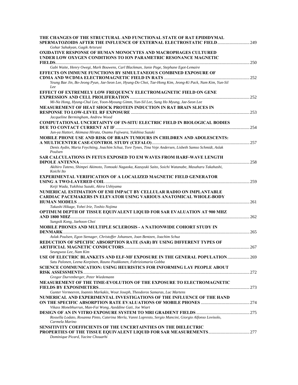| THE CHANGES OF THE STRUCTURAL AND FUNCTIONAL STATE OF RAT EPIDIDYMAL<br>SPERMATOZOIDS AFTER THE INFLUENCE OF EXTERNAL ELECTROSTATIC FIELD 249    |  |
|--------------------------------------------------------------------------------------------------------------------------------------------------|--|
| Gohar Sahakyan, Gagik Artsruni                                                                                                                   |  |
| <b>OXIDATIVE RESPONSE OF HUMAN MONOCYTES AND MACROPHAGES CULTURED</b><br>UNDER LOW OXYGEN CONDITIONS TO ION PARAMETRIC RESONANCE MAGNETIC        |  |
|                                                                                                                                                  |  |
| Gabi Waite, Henry Owegi, Mark Bouwens, Carl Blackman, Janie Page, Stephane Egot-Lemaire                                                          |  |
| <b>EFFECTS ON IMMUNE FUNCTIONS BY SIMULTANEOUS COMBINED EXPOSURE OF</b>                                                                          |  |
| Yeung Bae Jin, Bo-Jeong Pyun, Jae-Seon Lee, Hyung-Do Choi, Tae-Hong Kim, Jeong-Ki Pack, Nam Kim, Yun-Sil<br>Lee                                  |  |
| <b>EFFECT OF EXTREMELY LOW FREQUENCY ELECTROMAGNETIC FIELD ON GENE</b>                                                                           |  |
| Mi-Na Hong, Hyung-Chul Lee, Yoon-Myoung Gimm, Yun-Sil Lee, Sung Ho Myung, Jae-Seon Lee                                                           |  |
| MEASUREMENT OF HEAT SHOCK PROTEIN INDUCTION IN RAT BRAIN SLICES IN                                                                               |  |
| Jacqueline Bermingham, Andrew Wood                                                                                                               |  |
| <b>COMPUTATIONAL UNCERTAINTY OF IN-SITU ELECTRIC FIELD IN BIOLOGICAL BODIES</b>                                                                  |  |
| Jun-ya Hattori, Akimasa Hirata, Osamu Fujiwara, Yukihisa Suzuki                                                                                  |  |
| <b>MOBILE PHONE USE AND RISK OF BRAIN TUMOURS IN CHILDREN AND ADOLESCENTS:</b>                                                                   |  |
| Denis Aydin, Maria Feychting, Joachim Schuz, Tore Tynes, Tina Veje Andersen, Lisbeth Samso Schmidt, Aslak<br>Poulsen                             |  |
| <b>SAR CALCULATIONS IN FETUS EXPOSED TO EM WAVES FROM HARF-WAVE LENGTH</b>                                                                       |  |
| Akihiro Tateno, Shimpei Akimoto, Tomoaki Nagaoka, Kazuyuki Saito, Soichi Watanabe, Masaharu Takahashi,<br>Koichi Ito                             |  |
| <b>EXPERIMENTAL VERIFICATION OF A LOCALIZED MAGNETIC FIELD GENERATOR</b>                                                                         |  |
| Keiji Wada, Yukihisa Suzuki, Akira Ushiyama                                                                                                      |  |
| NUMERICAL ESTIMATION OF EMI IMPACT BY CELLULAR RADIO ON IMPLANTABLE<br><b>CARDIAC PACEMAKERS IN ELEVATOR USING VARIOUS ANATOMICAL WHOLE-BODY</b> |  |
| Takashi Hikage, Yohei Irie, Toshio Nojima                                                                                                        |  |
| <b>OPTIMUM DEPTH OF TISSUE EQUIVALENT LIQUID FOR SAR EVALUATION AT 900 MHZ</b>                                                                   |  |
| Sungsik Kong, Jaehoon Choi                                                                                                                       |  |
| <b>MOBILE PHONES AND MULTIPLE SCLEROSIS - A NATIONWIDE COHORT STUDY IN</b>                                                                       |  |
| Aslak Poulsen, Egon Stenager, Christoffer Johansen, Joan Bentzen, Joachim Schuz                                                                  |  |
| REDUCTION OF SPECIFIC ABSORPTION RATE (SAR) BY USING DIFFERENT TYPES OF                                                                          |  |
| Seungwoo Lee, Nam Kim                                                                                                                            |  |
| USE OF ELECTRIC BLANKETS AND ELF-MF EXPOSURE IN THE GENERAL POPULATION 269<br>Satu Palonen, Leena Korpinen, Rauno Paakkonen, Fabriziomaria Gobba |  |
| <b>SCIENCE COMMUNICATION: USING HEURISTICS FOR INFORMING LAY PEOPLE ABOUT</b>                                                                    |  |
| Gregor Durrenberger, Peter Wiedemann                                                                                                             |  |
| MEASUREMENT OF THE TIME-EVOLUTION OF THE EXPOSURE TO ELECTROMAGNETIC                                                                             |  |
| Gunter Vermeeren, Ioannis Markakis, Wout Joseph, Theodoros Samaras, Luc Martens                                                                  |  |
| NUMERICAL AND EXPERIMENTAL INVESTIGATIONS OF THE INFLUENCE OF THE HAND                                                                           |  |
| Vikass Monebhurrun, Man-Fai Wong, Azeddine Gati, Joe Wiart                                                                                       |  |
|                                                                                                                                                  |  |
| Rossella Lodato, Rosanna Pinto, Caterina Merla, Vanni Lopresto, Sergio Mancini, Giorgio Alfonso Lovisolo,<br>Carmela Marino                      |  |
| <b>SENSITIVITY COEFFICIENTS OF THE UNCERTAINTIES ON THE DIELECTRIC</b>                                                                           |  |
| Dominique Picard, Yacine Chouarhi                                                                                                                |  |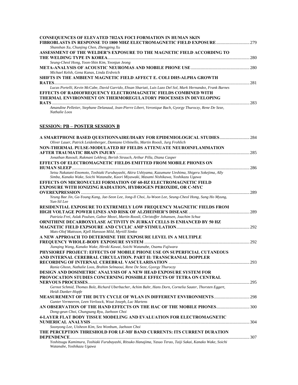| <b>CONSEQUENCES OF ELEVATED ?H2AX FOCI FORMATION IN HUMAN SKIN</b>                                                         |     |
|----------------------------------------------------------------------------------------------------------------------------|-----|
| FIBROBLASTS IN RESPONSE TO 1800 MHZ ELECTROMAGNETIC FIELD EXPOSURE  279                                                    |     |
| Shanshan Xu, Chunjing Chen, Zhengping Xu                                                                                   |     |
| ASSESSMENT OF THE WELDER'S EXPOSURE TO THE MAGNETIC FIELD ACCORDING TO                                                     |     |
|                                                                                                                            | 280 |
| Seung-Cheol Hong, Yoon-Shin Kim, Yeonjun Jeong                                                                             |     |
|                                                                                                                            |     |
| Michael Kelsh, Gena Kanas, Linda Erdreich                                                                                  |     |
| SHIFTS IN THE AMBIENT MAGNETIC FIELD AFFECT E. COLI DH5-ALPHA GROWTH                                                       |     |
| <b>RATES</b>                                                                                                               | 281 |
| Lucas Portelli, Kevin McCabe, David Garrido, Ehsan Shariati, Luis Lazo Del Sol, Mark Hernandez, Frank Barnes               |     |
| <b>EFFECTS OF RADIOFREQUENCY ELECTROMAGNETIC FIELDS COMBINED WITH</b>                                                      |     |
| THERMAL ENVIRONMENT ON THERMOREGULATORY PROCESSES IN DEVELOPING                                                            |     |
| <b>RATS</b>                                                                                                                | 283 |
| Amandine Pelletier, Stephane Delanaud, Jean-Pierre Libert, Veronique Bach, Gyorgy Thuroczy, Rene De Seze,<br>Nathalie Loos |     |

## **SESSION: PB – POSTER SESSION B**

| A SMARTPHONE BASED QUESTIONNAIRE/DIARY FOR EPIDEMIOLOGICAL STUDIES 284                                                                                                                           |  |
|--------------------------------------------------------------------------------------------------------------------------------------------------------------------------------------------------|--|
| Oliver Lauer, Patrick Leidenberger, Damiano Urbinello, Martin Roosli, Jurg Frohlich                                                                                                              |  |
| NON-THERMAL PULSE-MODULATED RF FIELDS ATTENUATE NEUROINFLAMMATION                                                                                                                                |  |
|                                                                                                                                                                                                  |  |
| Jonathan Rasouli, Rukmani Lekhraj, Berish Strauch, Arthur Pilla, Diana Casper                                                                                                                    |  |
| <b>EFFECTS OF ELECTROMAGNETIC FIELDS EMITTED FROM MOBILE PHONES ON</b>                                                                                                                           |  |
|                                                                                                                                                                                                  |  |
| Setsu Nakatani-Enomoto, Toshiaki Furubayashi, Akira Ushiyama, Kazumune Ueshima, Shigeru Sokejima, Ally<br>Simba, Kanako Wake, Soichi Watanabe, Kaori Miyawaki, Masami Nishikawa, Yoshikazu Ugawa |  |
| <b>EFFECTS ON MICRONUCLEI FORMATION OF 60-HZ ELECTROMAGNETIC FIELD</b>                                                                                                                           |  |
| <b>EXPOSURE WITH IONIZING RADIATION, HYDROGEN PEROXIDE, OR C-MYC</b>                                                                                                                             |  |
|                                                                                                                                                                                                  |  |
| Yeung Bae Jin, Ga-Young Kang, Jae-Seon Lee, Jong-Il Choi, Ju-Woon Lee, Seung-Cheol Hong, Sung Ho Myung,<br>Yun-Sil Lee                                                                           |  |
| RESIDENTIAL EXPOSURE TO EXTREMELY LOW FREQUENCY MAGNETIC FIELDS FROM                                                                                                                             |  |
|                                                                                                                                                                                                  |  |
| Patrizia Frei, Aslak Poulsen, Gabor Mezei, Martin Roosli, Christoffer Johansen, Joachim Schuz                                                                                                    |  |
| ORNITHINE DECARBOXYLASE ACTIVITY IN JURKAT CELLS IS ENHANCED BY 50 HZ                                                                                                                            |  |
|                                                                                                                                                                                                  |  |
| Mats-Olof Mattsson, Kjell Hansson Mild, Myrtill Simko                                                                                                                                            |  |
| A NEW APPROACH TO DETERMINE THE EXPOSURE LEVEL IN A MULTIPLE                                                                                                                                     |  |
|                                                                                                                                                                                                  |  |
| Jianqing Wang, Kanako Wake, Hiroki Kawai, Soichi Watanabe, Osamu Fujiwara                                                                                                                        |  |
| PHYSIOREF PROJECT: EFFECTS OF MOBILE PHONE USE ON SUPERFICIAL CUTANEOUS                                                                                                                          |  |
| AND INTERNAL CEREBRAL CIRCULATION. PART II: TRANSCRANIAL DOPPLER                                                                                                                                 |  |
|                                                                                                                                                                                                  |  |
| Rania Ghosn, Nathalie Loos, Brahim Selmaoui, Rene De Seze, Gyorgy Thuroczy                                                                                                                       |  |
| <b>DESIGN AND DOSIMETRIC ANALYSIS OF A NEW HEAD EXPOSURE SYSTEM FOR</b>                                                                                                                          |  |
| PROVOCATION STUDIES CONCERNING POSSIBLE EFFECTS OF TETRA ON CENTRAL                                                                                                                              |  |
|                                                                                                                                                                                                  |  |
| Gernot Schmid, Thomas Bolz, Richard Uberbacher, Achim Bahr, Hans Dorn, Cornelia Sauter, Thorsten Eggert,<br>Heidi Danker-Hopfe                                                                   |  |
| <b>MEASUREMENT OF THE DUTY CYCLE OF WLAN IN DIFFERENT ENVIRONMENTS  298</b><br>Gunter Vermeeren, Leen Verloock, Wout Joseph, Luc Martens                                                         |  |
| AN OBSERVATION OF THE HAND EFFECTS ON THE HAC OF THE MOBILE PHONES 300                                                                                                                           |  |
| Dong-geun Choi, Chungsang Ryu, Jaehoon Choi                                                                                                                                                      |  |
| <b>4-LAYER FLAT BODY TISSUE MODELING AND EVALUATION FOR ELECTROMAGNETIC</b>                                                                                                                      |  |
|                                                                                                                                                                                                  |  |
| Soonyong Lee, Uisheon Kim, Seo Wonbum, Jaehoon Choi                                                                                                                                              |  |
| THE PERCEPTION THRESHOLD FOR LF-MF BAND CURRENTS: ITS CURRENT DURATION                                                                                                                           |  |
|                                                                                                                                                                                                  |  |
| Yoshitsugu Kamimura, Toshiaki Furubayashi, Ritsuko Hanajima, Yasuo Terao, Taiji Sakai, Kanako Wake, Soichi<br>Watanabe, Yoshikazu Ugawa                                                          |  |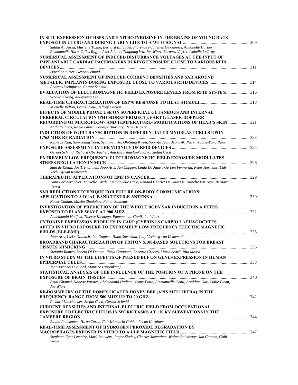| IN SITU EXPRESSION OF HSPS AND 3-NITROTYROSINE IN THE BRAINS OF YOUNG RATS                                              |  |
|-------------------------------------------------------------------------------------------------------------------------|--|
| Saliha Ait Aissa, Murielle Taxile, Bernard Billaudel, Florence Poulletier De Gannes, Annabelle Hurtier,                 |  |
| Emmanuelle Haro, Gilles Ruffie, Axel Athane, Tongning Wu, Joe Wiart, Bernard Veyret, Isabelle LaGroye                   |  |
| NUMERICAL ASSESSMENT OF INDUCED DISTURBANCE VOLTAGES AT THE INPUT OF                                                    |  |
| <b>IMPLANTABLE CARDIAC PACEMAKERS DURING EXPOSURE CLOSE TO VARIOUS RFID</b>                                             |  |
|                                                                                                                         |  |
| David Sainitzer, Gernot Schmid                                                                                          |  |
| NUMERICAL ASSESSMENT OF INDUCED CURRENT DENSITIES AND SAR AROUND                                                        |  |
|                                                                                                                         |  |
| Andreas Weinfurter, Gernot Schmid                                                                                       |  |
| <b>EVALUATION OF ELECTROMAGNETIC FIELD EXPOSURE LEVELS FROM RFID SYSTEM  316</b><br>Seon-eui Nong, Ae-kyoung Lee        |  |
|                                                                                                                         |  |
| Michelle Belton, Frank Prato, Jeffrey Carson                                                                            |  |
| <b>EFFECTS OF MOBILE PHONE USE ON SUPERFICIAL CUTANEOUS AND INTERNAL</b>                                                |  |
| <b>CEREBRAL CIRCULATION (PHYSIOREF PROJECT). PART I: LASER-DOPPLER</b>                                                  |  |
| <b>RECORDING OF MICROFLOW- AND TEMPERATURE- MODIFICATIONS OF HEAD'S SKIN  321</b>                                       |  |
| Nathalie Loos, Rania Ghosn, Gyorgy Thuroczy, Rene De Seze                                                               |  |
| INDUCTION OF FGF2 TRANSCRIPTION IN DIFFERENTIATED MYOBLAST CELLS UPON                                                   |  |
|                                                                                                                         |  |
| Kyu-Tae Kim, Sun-Young Yoon, Seong-Jin Jo, Oh-Sang Kwon, Soon-Ik Jeon, Jeong-Ki Pack, Woong-Yang Park                   |  |
| Gernot Schmid, Richard Uberbacher, Ana Escorihuela-Navarro, Stefan Cecil                                                |  |
| <b>EXTREMELY LOW FREQUENCY ELECTROMAGNETIC FIELD EXPOSURE MODULATES</b>                                                 |  |
|                                                                                                                         |  |
| Stan de Kleijn, Jos Trentelman, Joop Arts, Jan Cuppen, Linda De Jager, Gerben Ferwerda, Peter Hermans, Lidy             |  |
| Verburg-van Kemenade                                                                                                    |  |
|                                                                                                                         |  |
| Yann Percherancier, Murielle Taxile, Emmanuelle Haro, Renaud Charlet De Sauvage, Isabelle LaGroye, Bernard<br>Veyret    |  |
| <b>SAR REDUCTION TECHNIQUE FOR FUTURE ON-BODY COMMUNICATIONS:</b>                                                       |  |
|                                                                                                                         |  |
| Nacer Chahat, Maxim Zhadobov, Ronan Sauleau                                                                             |  |
| <b>INVESTIGATION OF PREDICTION OF THE WHOLE BODY SAR INDUCED IN A FETUS</b>                                             |  |
| Abdelhamid Hadjem, Thierry Kientega, Emmanuelle Conil, Joe Wiart                                                        |  |
| <b>CYTOKINE EXPRESSION PROFILES IN CARP (CYPRINUS CARPIO L.) PHAGOCYTES</b>                                             |  |
| AFTER IN VITRO EXPOSURE TO EXTREMELY LOW FREOUENCY ELECTROMAGNETIC                                                      |  |
|                                                                                                                         |  |
| Joop Arts, Lieke Golbach, Jan Cuppen, Huub Savelkoul, Lidy Verburg-van Kemenade                                         |  |
| <b>BROADBAND CHARACTERIZATION OF TRITON X100-BASED SOLUTIONS FOR BREAST</b>                                             |  |
|                                                                                                                         |  |
| Stefania Romeo, Loreto Di Donato, Ilaria Catapano, Lorenzo Crocco, Maria Scarfi, Rita Massa                             |  |
| IN VITRO STUDY OF THE EFFECTS OF PULSED ELF ON GENES EXPRESSION IN HUMAN                                                |  |
| Jean-Francois Collard, Maurice Hinsenkamp                                                                               |  |
| STATISTICAL ANALYSIS OF THE INFLUENCE OF THE POSITION OF A PHONE ON THE                                                 |  |
|                                                                                                                         |  |
| Amal Ghanmi, Nadege Varsier, Abdelhamid Hadjem, Yenny Pinto, Emmanuelle Conil, Azeddine Gati, Odile Picon,<br>Joe Wiart |  |
| RF-DOSIMETRY OF THE DOMESTICATED HONEY BEE (APIS MELLIFERA) IN THE                                                      |  |
|                                                                                                                         |  |
| Richard Uberbacher, Stefan Cecil, Gernot Schmid                                                                         |  |
| <b>CURRENT DENSITIES AND INTERNAL ELECTRIC FIELD FROM OCCUPATIONAL</b>                                                  |  |
| <b>EXPOSURE TO ELECTRIC FIELDS IN WORK TASKS AT 110 KV SUBSTATIONS IN THE</b>                                           |  |
|                                                                                                                         |  |
| Rauno Paakkonen, Hiroo Tarao, Fabriziomaria Gobba, Leena Korpinen                                                       |  |
| <b>REAL-TIME ASSESSMENT OF HYDROGEN PEROXIDE DEGRADATION BY</b>                                                         |  |
| Stephane Egot-Lemaire, Mark Bouwens, Roger Sladek, Charles Joenathan, Walter Balcavage, Jan Cuppen, Gabi                |  |
| Waite                                                                                                                   |  |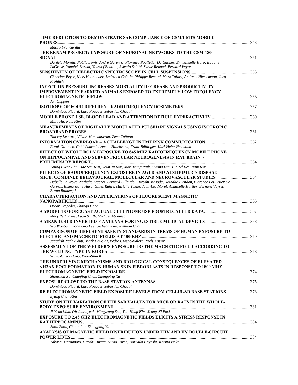| TIME REDUCTION TO DEMONSTRATE SAR COMPLIANCE OF GSM/UMTS MOBILE                                                                                                                                                                                 |  |
|-------------------------------------------------------------------------------------------------------------------------------------------------------------------------------------------------------------------------------------------------|--|
| <b>PHONES</b>                                                                                                                                                                                                                                   |  |
| Mauro Francavilla                                                                                                                                                                                                                               |  |
| THE ERNAM PROJECT: EXPOSURE OF NEURONAL NETWORKS TO THE GSM-1800                                                                                                                                                                                |  |
| Daniela Moretti, Noëlle Lewis, André Garenne, Florence Poulletier De Gannes, Emmanuelle Haro, Isabelle<br>LaGroye, Yannick Bornat, Youssef Boutaib, Sylvain Saighi, Sylvie Renaud, Bernard Veyret                                               |  |
|                                                                                                                                                                                                                                                 |  |
| Christian Beyer, Niels Haandbaek, Ludovica Colella, Philippe Renaud, Mark Talary, Andreas Hierlemann, Jurg<br>Frohlich                                                                                                                          |  |
| <b>INFECTION PRESSURE INCREASES MORTALITY DECREASE AND PRODUCTIVITY</b>                                                                                                                                                                         |  |
| <b>IMPROVEMENT IN FARMED ANIMALS EXPOSED TO EXTREMELY LOW FREQUENCY</b>                                                                                                                                                                         |  |
| Jan Cuppen                                                                                                                                                                                                                                      |  |
|                                                                                                                                                                                                                                                 |  |
| Dominique Picard, Luce Fouquet, Sebastien Chauvin                                                                                                                                                                                               |  |
| Mina Ha, Nam Kim                                                                                                                                                                                                                                |  |
| MEASUREMENTS OF DIGITALLY MODULATED PULSED RF SIGNALS USING ISOTROPIC                                                                                                                                                                           |  |
| Thierry Letertre, Vikass Monebhurrun, Zeno Toffano                                                                                                                                                                                              |  |
|                                                                                                                                                                                                                                                 |  |
| Frank Gollnick, Gabi Conrad, Annette Hillebrand, Franz Büllingen, Karl-Heinz Neumann                                                                                                                                                            |  |
| <b>EFFECT OF WHOLE BODY EXPOSURE TO 845 MHZ RADIOFREQUENCY MOBILE PHONE</b>                                                                                                                                                                     |  |
| ON HIPPOCAMPAL AND SUBVENTRICULAR NEUROGENESIS IN RAT BRAIN. -                                                                                                                                                                                  |  |
|                                                                                                                                                                                                                                                 |  |
| Young Hwan Ahn, Hae Sun Kim, Youn Ju Kim, Man Jeung Paik, Gwang Lee, Yun-Sil Lee, Nam Kim                                                                                                                                                       |  |
| <b>EFFECTS OF RADIOFREOUENCY EXPOSURE IN AGED AND ALZHEIMER'S DISEASE</b>                                                                                                                                                                       |  |
| MICE: COMBINED BEHAVIOURAL, MOLECULAR AND NEUROVASCULAR STUDIES  364                                                                                                                                                                            |  |
| Isabelle LaGroye, Nathalie Macrez, Bernard Billaudel, Hiroshi Masuda, Nathalie Biendon, Florence Poulletier De<br>Gannes, Emmanuelle Haro, Gilles Ruffie, Murielle Taxile, Jean-Luc Morel, Annabelle Hurtier, Bernard Veyret,<br>Bruno Bontempi |  |
| <b>CHARACTERISATION AND APPLICATIONS OF FLUORESCENT MAGNETIC</b>                                                                                                                                                                                |  |
|                                                                                                                                                                                                                                                 |  |
| Oscar Cespedes, Shoogo Ueno                                                                                                                                                                                                                     |  |
| Mary Redmayne, Euan Smith, Michael Abramson                                                                                                                                                                                                     |  |
| Seo Wonbum, Soonyong Lee, Uisheon Kim, Jaehoon Choi                                                                                                                                                                                             |  |
| <b>COMPARISON OF DIFFERENT SAFETY STANDARDS IN TERMS OF HUMAN EXPOSURE TO</b>                                                                                                                                                                   |  |
| Jagadish Nadakuduti, Mark Douglas, Pedro Crespo-Valero, Niels Kuster                                                                                                                                                                            |  |
| ASSESSMENT OF THE WELDER'S EXPOSURE TO THE MAGNETIC FIELD ACCORDING TO                                                                                                                                                                          |  |
| Seung-Cheol Hong, Yoon-Shin Kim                                                                                                                                                                                                                 |  |
| THE UNDERLYING MECHANISMS AND BIOLOGICAL CONSEQUENCES OF ELEVATED                                                                                                                                                                               |  |
| [H2AX FOCI FORMATION IN HUMAN SKIN FIBROBLASTS IN RESPONSE TO 1800 MHZ                                                                                                                                                                          |  |
|                                                                                                                                                                                                                                                 |  |
| Shanshan Xu, Chunjing Chen, Zhengping Xu                                                                                                                                                                                                        |  |
|                                                                                                                                                                                                                                                 |  |
| Dominique Picard, Luce Fouquet, Sebastien Chauvin                                                                                                                                                                                               |  |
| RF ELECTROMAGNETIC FIELD EXPOSURE LEVELS FROM CELLULAR BASE STATIONS 378<br>Byung Chan Kim                                                                                                                                                      |  |
| STUDY ON THE VARIATION OF THE SAR VALUES FOR MICE OR RATS IN THE WHOLE-                                                                                                                                                                         |  |
|                                                                                                                                                                                                                                                 |  |
| Ji-Yeon Mun, Oh Joonhyeok, Mingyeong Seo, Tae-Hong Kim, Jeong-Ki Pack                                                                                                                                                                           |  |
| <b>EXPOSURE TO 2.45 GHZ ELECTROMAGNETIC FIELDS ELICITS A STRESS RESPONSE IN</b>                                                                                                                                                                 |  |
|                                                                                                                                                                                                                                                 |  |
| Zhou Zhou, Chuan Liu, Zhengping Yu                                                                                                                                                                                                              |  |
| ANALYSIS OF MAGNETIC FIELD DISTRIBUTION UNDER EHV AND HV DOUBLE-CIRCUIT                                                                                                                                                                         |  |
|                                                                                                                                                                                                                                                 |  |
| Takashi Matsumoto, Hitoshi Hirata, Hiroo Tarao, Noriyuki Hayashi, Katsuo Isaka                                                                                                                                                                  |  |